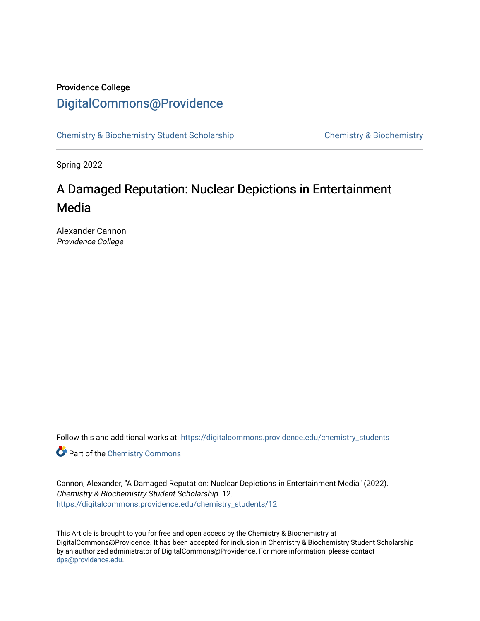# Providence College [DigitalCommons@Providence](https://digitalcommons.providence.edu/)

[Chemistry & Biochemistry Student Scholarship](https://digitalcommons.providence.edu/chemistry_students) [Chemistry & Biochemistry](https://digitalcommons.providence.edu/chemistry) 

Spring 2022

# A Damaged Reputation: Nuclear Depictions in Entertainment Media

Alexander Cannon Providence College

Follow this and additional works at: [https://digitalcommons.providence.edu/chemistry\\_students](https://digitalcommons.providence.edu/chemistry_students?utm_source=digitalcommons.providence.edu%2Fchemistry_students%2F12&utm_medium=PDF&utm_campaign=PDFCoverPages)

**Part of the Chemistry Commons** 

Cannon, Alexander, "A Damaged Reputation: Nuclear Depictions in Entertainment Media" (2022). Chemistry & Biochemistry Student Scholarship. 12. [https://digitalcommons.providence.edu/chemistry\\_students/12](https://digitalcommons.providence.edu/chemistry_students/12?utm_source=digitalcommons.providence.edu%2Fchemistry_students%2F12&utm_medium=PDF&utm_campaign=PDFCoverPages) 

This Article is brought to you for free and open access by the Chemistry & Biochemistry at DigitalCommons@Providence. It has been accepted for inclusion in Chemistry & Biochemistry Student Scholarship by an authorized administrator of DigitalCommons@Providence. For more information, please contact [dps@providence.edu.](mailto:dps@providence.edu)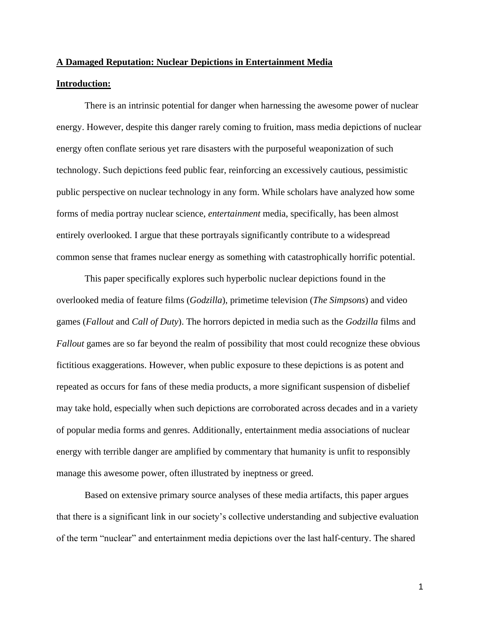#### **A Damaged Reputation: Nuclear Depictions in Entertainment Media**

### **Introduction:**

There is an intrinsic potential for danger when harnessing the awesome power of nuclear energy. However, despite this danger rarely coming to fruition, mass media depictions of nuclear energy often conflate serious yet rare disasters with the purposeful weaponization of such technology. Such depictions feed public fear, reinforcing an excessively cautious, pessimistic public perspective on nuclear technology in any form. While scholars have analyzed how some forms of media portray nuclear science, *entertainment* media, specifically, has been almost entirely overlooked. I argue that these portrayals significantly contribute to a widespread common sense that frames nuclear energy as something with catastrophically horrific potential.

This paper specifically explores such hyperbolic nuclear depictions found in the overlooked media of feature films (*Godzilla*), primetime television (*The Simpsons*) and video games (*Fallout* and *Call of Duty*). The horrors depicted in media such as the *Godzilla* films and *Fallout* games are so far beyond the realm of possibility that most could recognize these obvious fictitious exaggerations. However, when public exposure to these depictions is as potent and repeated as occurs for fans of these media products, a more significant suspension of disbelief may take hold, especially when such depictions are corroborated across decades and in a variety of popular media forms and genres. Additionally, entertainment media associations of nuclear energy with terrible danger are amplified by commentary that humanity is unfit to responsibly manage this awesome power, often illustrated by ineptness or greed.

Based on extensive primary source analyses of these media artifacts, this paper argues that there is a significant link in our society's collective understanding and subjective evaluation of the term "nuclear" and entertainment media depictions over the last half-century. The shared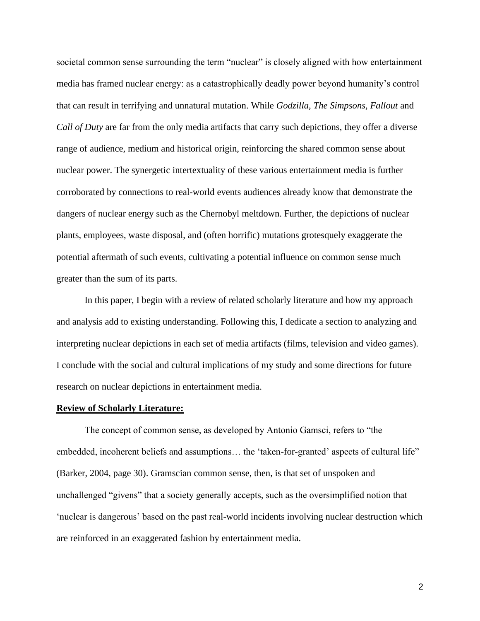societal common sense surrounding the term "nuclear" is closely aligned with how entertainment media has framed nuclear energy: as a catastrophically deadly power beyond humanity's control that can result in terrifying and unnatural mutation. While *Godzilla, The Simpsons, Fallout* and *Call of Duty* are far from the only media artifacts that carry such depictions, they offer a diverse range of audience, medium and historical origin, reinforcing the shared common sense about nuclear power. The synergetic intertextuality of these various entertainment media is further corroborated by connections to real-world events audiences already know that demonstrate the dangers of nuclear energy such as the Chernobyl meltdown. Further, the depictions of nuclear plants, employees, waste disposal, and (often horrific) mutations grotesquely exaggerate the potential aftermath of such events, cultivating a potential influence on common sense much greater than the sum of its parts.

In this paper, I begin with a review of related scholarly literature and how my approach and analysis add to existing understanding. Following this, I dedicate a section to analyzing and interpreting nuclear depictions in each set of media artifacts (films, television and video games). I conclude with the social and cultural implications of my study and some directions for future research on nuclear depictions in entertainment media.

## **Review of Scholarly Literature:**

The concept of common sense, as developed by Antonio Gamsci, refers to "the embedded, incoherent beliefs and assumptions… the 'taken-for-granted' aspects of cultural life" (Barker, 2004, page 30). Gramscian common sense, then, is that set of unspoken and unchallenged "givens" that a society generally accepts, such as the oversimplified notion that 'nuclear is dangerous' based on the past real-world incidents involving nuclear destruction which are reinforced in an exaggerated fashion by entertainment media.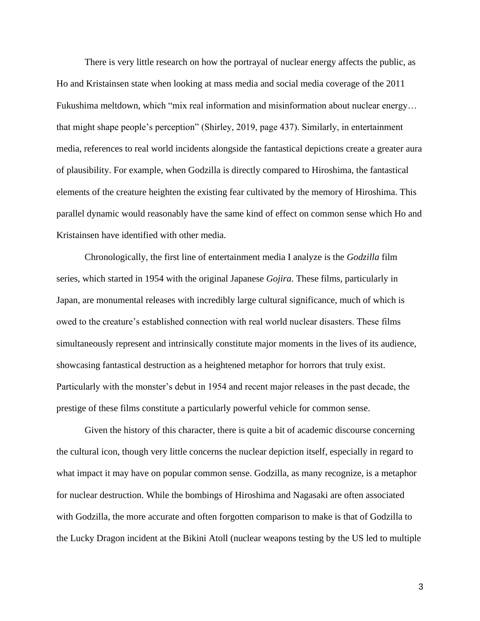There is very little research on how the portrayal of nuclear energy affects the public, as Ho and Kristainsen state when looking at mass media and social media coverage of the 2011 Fukushima meltdown, which "mix real information and misinformation about nuclear energy… that might shape people's perception" (Shirley, 2019, page 437). Similarly, in entertainment media, references to real world incidents alongside the fantastical depictions create a greater aura of plausibility. For example, when Godzilla is directly compared to Hiroshima, the fantastical elements of the creature heighten the existing fear cultivated by the memory of Hiroshima. This parallel dynamic would reasonably have the same kind of effect on common sense which Ho and Kristainsen have identified with other media.

Chronologically, the first line of entertainment media I analyze is the *Godzilla* film series, which started in 1954 with the original Japanese *Gojira*. These films, particularly in Japan, are monumental releases with incredibly large cultural significance, much of which is owed to the creature's established connection with real world nuclear disasters. These films simultaneously represent and intrinsically constitute major moments in the lives of its audience, showcasing fantastical destruction as a heightened metaphor for horrors that truly exist. Particularly with the monster's debut in 1954 and recent major releases in the past decade, the prestige of these films constitute a particularly powerful vehicle for common sense.

Given the history of this character, there is quite a bit of academic discourse concerning the cultural icon, though very little concerns the nuclear depiction itself, especially in regard to what impact it may have on popular common sense. Godzilla, as many recognize, is a metaphor for nuclear destruction. While the bombings of Hiroshima and Nagasaki are often associated with Godzilla, the more accurate and often forgotten comparison to make is that of Godzilla to the Lucky Dragon incident at the Bikini Atoll (nuclear weapons testing by the US led to multiple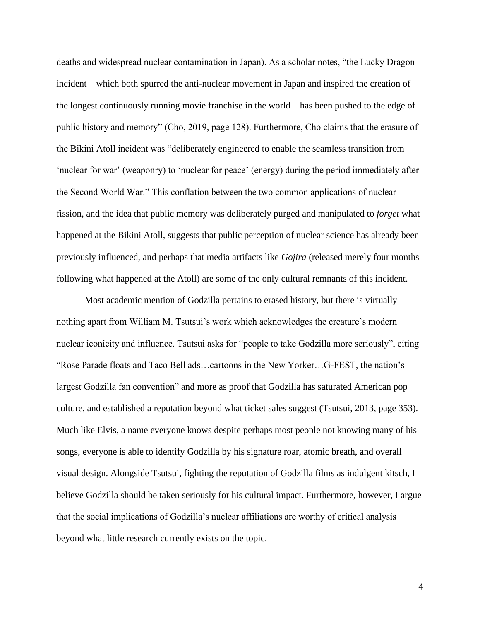deaths and widespread nuclear contamination in Japan). As a scholar notes, "the Lucky Dragon incident – which both spurred the anti-nuclear movement in Japan and inspired the creation of the longest continuously running movie franchise in the world – has been pushed to the edge of public history and memory" (Cho, 2019, page 128). Furthermore, Cho claims that the erasure of the Bikini Atoll incident was "deliberately engineered to enable the seamless transition from 'nuclear for war' (weaponry) to 'nuclear for peace' (energy) during the period immediately after the Second World War." This conflation between the two common applications of nuclear fission, and the idea that public memory was deliberately purged and manipulated to *forget* what happened at the Bikini Atoll, suggests that public perception of nuclear science has already been previously influenced, and perhaps that media artifacts like *Gojira* (released merely four months following what happened at the Atoll) are some of the only cultural remnants of this incident.

Most academic mention of Godzilla pertains to erased history, but there is virtually nothing apart from William M. Tsutsui's work which acknowledges the creature's modern nuclear iconicity and influence. Tsutsui asks for "people to take Godzilla more seriously", citing "Rose Parade floats and Taco Bell ads…cartoons in the New Yorker…G-FEST, the nation's largest Godzilla fan convention" and more as proof that Godzilla has saturated American pop culture, and established a reputation beyond what ticket sales suggest (Tsutsui, 2013, page 353). Much like Elvis, a name everyone knows despite perhaps most people not knowing many of his songs, everyone is able to identify Godzilla by his signature roar, atomic breath, and overall visual design. Alongside Tsutsui, fighting the reputation of Godzilla films as indulgent kitsch, I believe Godzilla should be taken seriously for his cultural impact. Furthermore, however, I argue that the social implications of Godzilla's nuclear affiliations are worthy of critical analysis beyond what little research currently exists on the topic.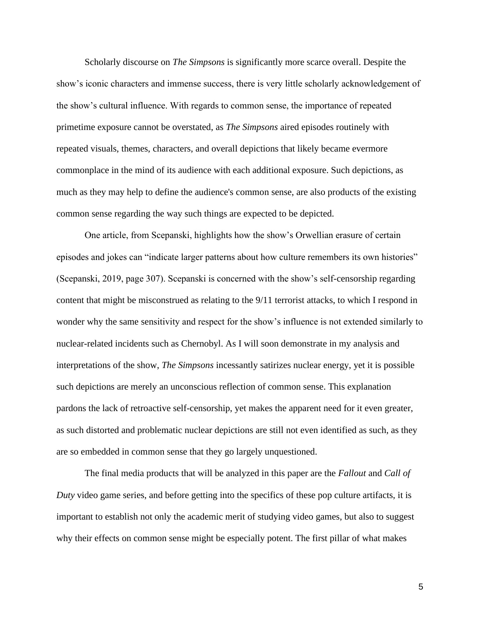Scholarly discourse on *The Simpsons* is significantly more scarce overall. Despite the show's iconic characters and immense success, there is very little scholarly acknowledgement of the show's cultural influence. With regards to common sense, the importance of repeated primetime exposure cannot be overstated, as *The Simpsons* aired episodes routinely with repeated visuals, themes, characters, and overall depictions that likely became evermore commonplace in the mind of its audience with each additional exposure. Such depictions, as much as they may help to define the audience's common sense, are also products of the existing common sense regarding the way such things are expected to be depicted.

One article, from Scepanski, highlights how the show's Orwellian erasure of certain episodes and jokes can "indicate larger patterns about how culture remembers its own histories" (Scepanski, 2019, page 307). Scepanski is concerned with the show's self-censorship regarding content that might be misconstrued as relating to the 9/11 terrorist attacks, to which I respond in wonder why the same sensitivity and respect for the show's influence is not extended similarly to nuclear-related incidents such as Chernobyl. As I will soon demonstrate in my analysis and interpretations of the show, *The Simpsons* incessantly satirizes nuclear energy, yet it is possible such depictions are merely an unconscious reflection of common sense. This explanation pardons the lack of retroactive self-censorship, yet makes the apparent need for it even greater, as such distorted and problematic nuclear depictions are still not even identified as such, as they are so embedded in common sense that they go largely unquestioned.

The final media products that will be analyzed in this paper are the *Fallout* and *Call of Duty* video game series, and before getting into the specifics of these pop culture artifacts, it is important to establish not only the academic merit of studying video games, but also to suggest why their effects on common sense might be especially potent. The first pillar of what makes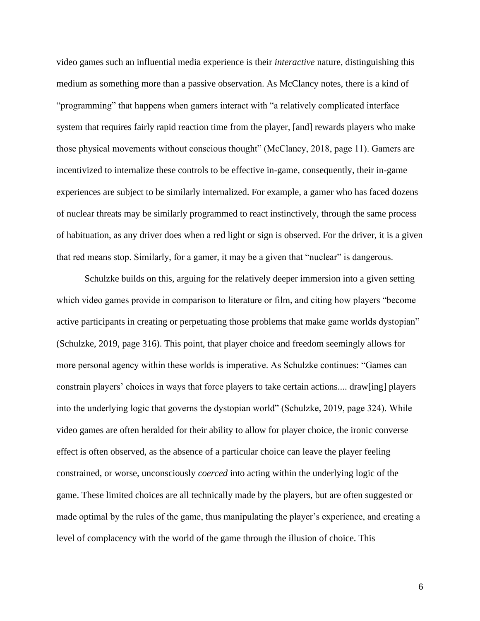video games such an influential media experience is their *interactive* nature, distinguishing this medium as something more than a passive observation. As McClancy notes, there is a kind of "programming" that happens when gamers interact with "a relatively complicated interface system that requires fairly rapid reaction time from the player, [and] rewards players who make those physical movements without conscious thought" (McClancy, 2018, page 11). Gamers are incentivized to internalize these controls to be effective in-game, consequently, their in-game experiences are subject to be similarly internalized. For example, a gamer who has faced dozens of nuclear threats may be similarly programmed to react instinctively, through the same process of habituation, as any driver does when a red light or sign is observed. For the driver, it is a given that red means stop. Similarly, for a gamer, it may be a given that "nuclear" is dangerous.

Schulzke builds on this, arguing for the relatively deeper immersion into a given setting which video games provide in comparison to literature or film, and citing how players "become active participants in creating or perpetuating those problems that make game worlds dystopian" (Schulzke, 2019, page 316). This point, that player choice and freedom seemingly allows for more personal agency within these worlds is imperative. As Schulzke continues: "Games can constrain players' choices in ways that force players to take certain actions.... draw[ing] players into the underlying logic that governs the dystopian world" (Schulzke, 2019, page 324). While video games are often heralded for their ability to allow for player choice, the ironic converse effect is often observed, as the absence of a particular choice can leave the player feeling constrained, or worse, unconsciously *coerced* into acting within the underlying logic of the game. These limited choices are all technically made by the players, but are often suggested or made optimal by the rules of the game, thus manipulating the player's experience, and creating a level of complacency with the world of the game through the illusion of choice. This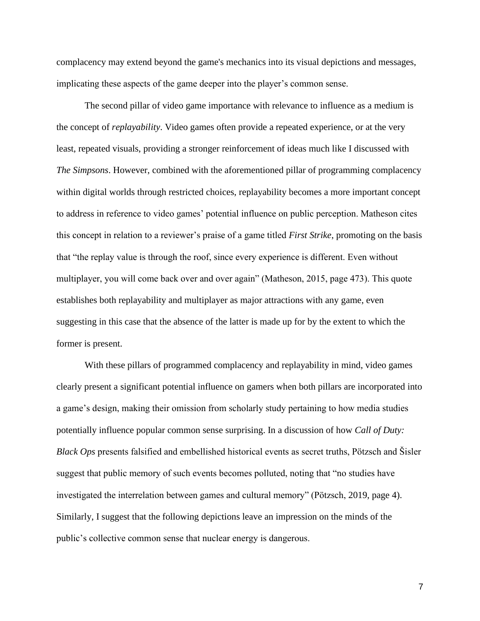complacency may extend beyond the game's mechanics into its visual depictions and messages, implicating these aspects of the game deeper into the player's common sense.

The second pillar of video game importance with relevance to influence as a medium is the concept of *replayability*. Video games often provide a repeated experience, or at the very least, repeated visuals, providing a stronger reinforcement of ideas much like I discussed with *The Simpsons*. However, combined with the aforementioned pillar of programming complacency within digital worlds through restricted choices, replayability becomes a more important concept to address in reference to video games' potential influence on public perception. Matheson cites this concept in relation to a reviewer's praise of a game titled *First Strike*, promoting on the basis that "the replay value is through the roof, since every experience is different. Even without multiplayer, you will come back over and over again" (Matheson, 2015, page 473). This quote establishes both replayability and multiplayer as major attractions with any game, even suggesting in this case that the absence of the latter is made up for by the extent to which the former is present.

With these pillars of programmed complacency and replayability in mind, video games clearly present a significant potential influence on gamers when both pillars are incorporated into a game's design, making their omission from scholarly study pertaining to how media studies potentially influence popular common sense surprising. In a discussion of how *Call of Duty: Black Ops* presents falsified and embellished historical events as secret truths, Pötzsch and Šisler suggest that public memory of such events becomes polluted, noting that "no studies have investigated the interrelation between games and cultural memory" (Pötzsch, 2019, page 4). Similarly, I suggest that the following depictions leave an impression on the minds of the public's collective common sense that nuclear energy is dangerous.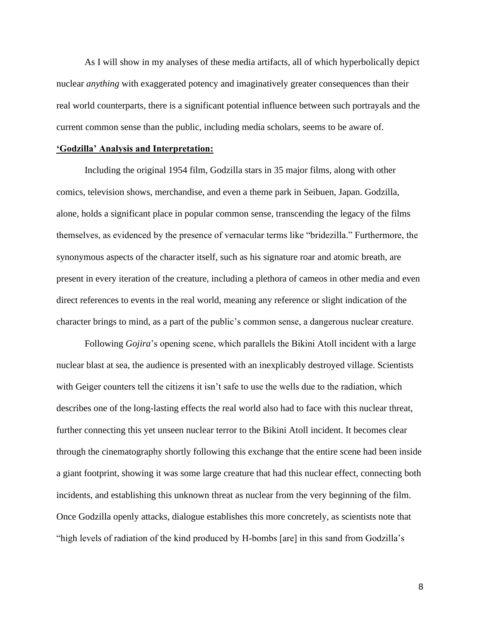As I will show in my analyses of these media artifacts, all of which hyperbolically depict nuclear *anything* with exaggerated potency and imaginatively greater consequences than their real world counterparts, there is a significant potential influence between such portrayals and the current common sense than the public, including media scholars, seems to be aware of.

#### **'Godzilla' Analysis and Interpretation:**

Including the original 1954 film, Godzilla stars in 35 major films, along with other comics, television shows, merchandise, and even a theme park in Seibuen, Japan. Godzilla, alone, holds a significant place in popular common sense, transcending the legacy of the films themselves, as evidenced by the presence of vernacular terms like "bridezilla." Furthermore, the synonymous aspects of the character itself, such as his signature roar and atomic breath, are present in every iteration of the creature, including a plethora of cameos in other media and even direct references to events in the real world, meaning any reference or slight indication of the character brings to mind, as a part of the public's common sense, a dangerous nuclear creature.

Following *Gojira*'s opening scene, which parallels the Bikini Atoll incident with a large nuclear blast at sea, the audience is presented with an inexplicably destroyed village. Scientists with Geiger counters tell the citizens it isn't safe to use the wells due to the radiation, which describes one of the long-lasting effects the real world also had to face with this nuclear threat, further connecting this yet unseen nuclear terror to the Bikini Atoll incident. It becomes clear through the cinematography shortly following this exchange that the entire scene had been inside a giant footprint, showing it was some large creature that had this nuclear effect, connecting both incidents, and establishing this unknown threat as nuclear from the very beginning of the film. Once Godzilla openly attacks, dialogue establishes this more concretely, as scientists note that "high levels of radiation of the kind produced by H-bombs [are] in this sand from Godzilla's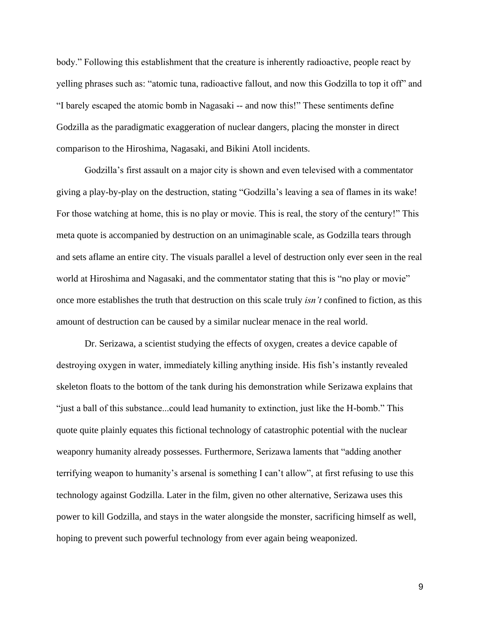body." Following this establishment that the creature is inherently radioactive, people react by yelling phrases such as: "atomic tuna, radioactive fallout, and now this Godzilla to top it off" and "I barely escaped the atomic bomb in Nagasaki -- and now this!" These sentiments define Godzilla as the paradigmatic exaggeration of nuclear dangers, placing the monster in direct comparison to the Hiroshima, Nagasaki, and Bikini Atoll incidents.

Godzilla's first assault on a major city is shown and even televised with a commentator giving a play-by-play on the destruction, stating "Godzilla's leaving a sea of flames in its wake! For those watching at home, this is no play or movie. This is real, the story of the century!" This meta quote is accompanied by destruction on an unimaginable scale, as Godzilla tears through and sets aflame an entire city. The visuals parallel a level of destruction only ever seen in the real world at Hiroshima and Nagasaki, and the commentator stating that this is "no play or movie" once more establishes the truth that destruction on this scale truly *isn't* confined to fiction, as this amount of destruction can be caused by a similar nuclear menace in the real world.

Dr. Serizawa, a scientist studying the effects of oxygen, creates a device capable of destroying oxygen in water, immediately killing anything inside. His fish's instantly revealed skeleton floats to the bottom of the tank during his demonstration while Serizawa explains that "just a ball of this substance...could lead humanity to extinction, just like the H-bomb." This quote quite plainly equates this fictional technology of catastrophic potential with the nuclear weaponry humanity already possesses. Furthermore, Serizawa laments that "adding another terrifying weapon to humanity's arsenal is something I can't allow", at first refusing to use this technology against Godzilla. Later in the film, given no other alternative, Serizawa uses this power to kill Godzilla, and stays in the water alongside the monster, sacrificing himself as well, hoping to prevent such powerful technology from ever again being weaponized.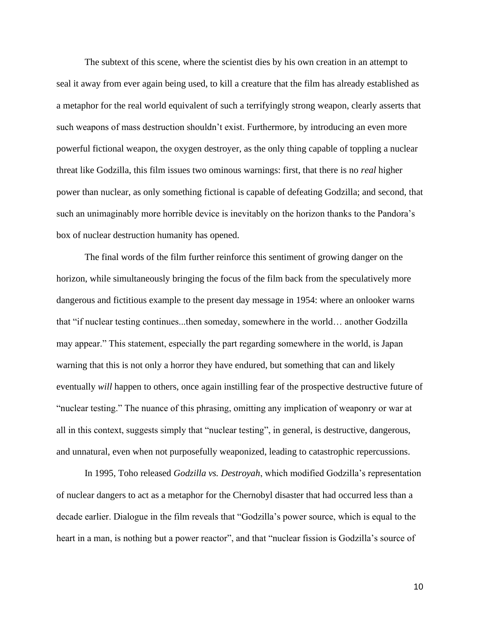The subtext of this scene, where the scientist dies by his own creation in an attempt to seal it away from ever again being used, to kill a creature that the film has already established as a metaphor for the real world equivalent of such a terrifyingly strong weapon, clearly asserts that such weapons of mass destruction shouldn't exist. Furthermore, by introducing an even more powerful fictional weapon, the oxygen destroyer, as the only thing capable of toppling a nuclear threat like Godzilla, this film issues two ominous warnings: first, that there is no *real* higher power than nuclear, as only something fictional is capable of defeating Godzilla; and second, that such an unimaginably more horrible device is inevitably on the horizon thanks to the Pandora's box of nuclear destruction humanity has opened.

The final words of the film further reinforce this sentiment of growing danger on the horizon, while simultaneously bringing the focus of the film back from the speculatively more dangerous and fictitious example to the present day message in 1954: where an onlooker warns that "if nuclear testing continues...then someday, somewhere in the world… another Godzilla may appear." This statement, especially the part regarding somewhere in the world, is Japan warning that this is not only a horror they have endured, but something that can and likely eventually *will* happen to others, once again instilling fear of the prospective destructive future of "nuclear testing." The nuance of this phrasing, omitting any implication of weaponry or war at all in this context, suggests simply that "nuclear testing", in general, is destructive, dangerous, and unnatural, even when not purposefully weaponized, leading to catastrophic repercussions.

In 1995, Toho released *Godzilla vs. Destroyah*, which modified Godzilla's representation of nuclear dangers to act as a metaphor for the Chernobyl disaster that had occurred less than a decade earlier. Dialogue in the film reveals that "Godzilla's power source, which is equal to the heart in a man, is nothing but a power reactor", and that "nuclear fission is Godzilla's source of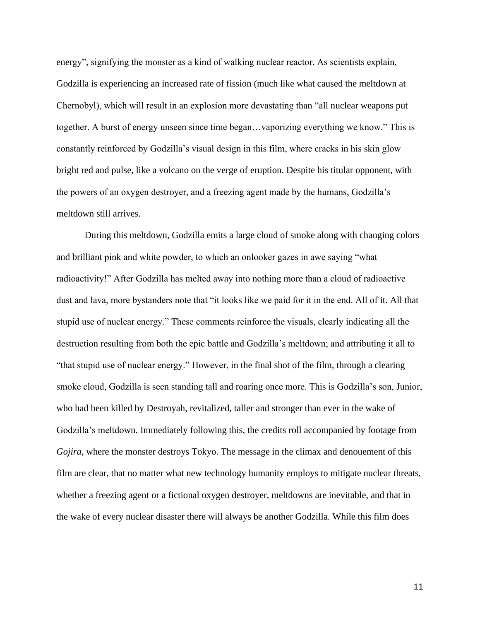energy", signifying the monster as a kind of walking nuclear reactor. As scientists explain, Godzilla is experiencing an increased rate of fission (much like what caused the meltdown at Chernobyl), which will result in an explosion more devastating than "all nuclear weapons put together. A burst of energy unseen since time began…vaporizing everything we know." This is constantly reinforced by Godzilla's visual design in this film, where cracks in his skin glow bright red and pulse, like a volcano on the verge of eruption. Despite his titular opponent, with the powers of an oxygen destroyer, and a freezing agent made by the humans, Godzilla's meltdown still arrives.

During this meltdown, Godzilla emits a large cloud of smoke along with changing colors and brilliant pink and white powder, to which an onlooker gazes in awe saying "what radioactivity!" After Godzilla has melted away into nothing more than a cloud of radioactive dust and lava, more bystanders note that "it looks like we paid for it in the end. All of it. All that stupid use of nuclear energy." These comments reinforce the visuals, clearly indicating all the destruction resulting from both the epic battle and Godzilla's meltdown; and attributing it all to "that stupid use of nuclear energy." However, in the final shot of the film, through a clearing smoke cloud, Godzilla is seen standing tall and roaring once more. This is Godzilla's son, Junior, who had been killed by Destroyah, revitalized, taller and stronger than ever in the wake of Godzilla's meltdown. Immediately following this, the credits roll accompanied by footage from *Gojira*, where the monster destroys Tokyo. The message in the climax and denouement of this film are clear, that no matter what new technology humanity employs to mitigate nuclear threats, whether a freezing agent or a fictional oxygen destroyer, meltdowns are inevitable, and that in the wake of every nuclear disaster there will always be another Godzilla. While this film does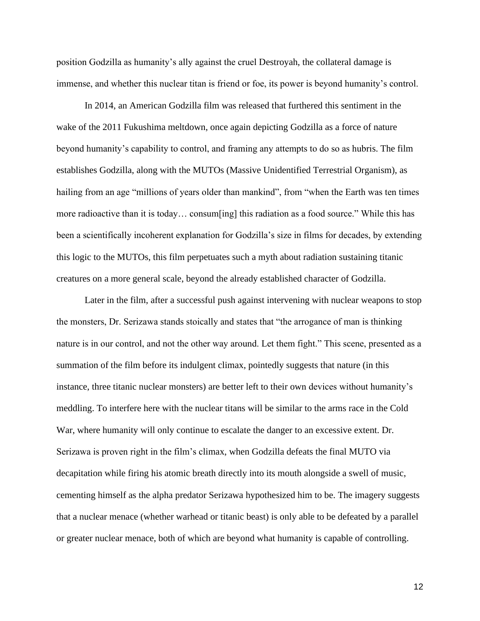position Godzilla as humanity's ally against the cruel Destroyah, the collateral damage is immense, and whether this nuclear titan is friend or foe, its power is beyond humanity's control.

In 2014, an American Godzilla film was released that furthered this sentiment in the wake of the 2011 Fukushima meltdown, once again depicting Godzilla as a force of nature beyond humanity's capability to control, and framing any attempts to do so as hubris. The film establishes Godzilla, along with the MUTOs (Massive Unidentified Terrestrial Organism), as hailing from an age "millions of years older than mankind", from "when the Earth was ten times more radioactive than it is today… consum[ing] this radiation as a food source." While this has been a scientifically incoherent explanation for Godzilla's size in films for decades, by extending this logic to the MUTOs, this film perpetuates such a myth about radiation sustaining titanic creatures on a more general scale, beyond the already established character of Godzilla.

Later in the film, after a successful push against intervening with nuclear weapons to stop the monsters, Dr. Serizawa stands stoically and states that "the arrogance of man is thinking nature is in our control, and not the other way around. Let them fight." This scene, presented as a summation of the film before its indulgent climax, pointedly suggests that nature (in this instance, three titanic nuclear monsters) are better left to their own devices without humanity's meddling. To interfere here with the nuclear titans will be similar to the arms race in the Cold War, where humanity will only continue to escalate the danger to an excessive extent. Dr. Serizawa is proven right in the film's climax, when Godzilla defeats the final MUTO via decapitation while firing his atomic breath directly into its mouth alongside a swell of music, cementing himself as the alpha predator Serizawa hypothesized him to be. The imagery suggests that a nuclear menace (whether warhead or titanic beast) is only able to be defeated by a parallel or greater nuclear menace, both of which are beyond what humanity is capable of controlling.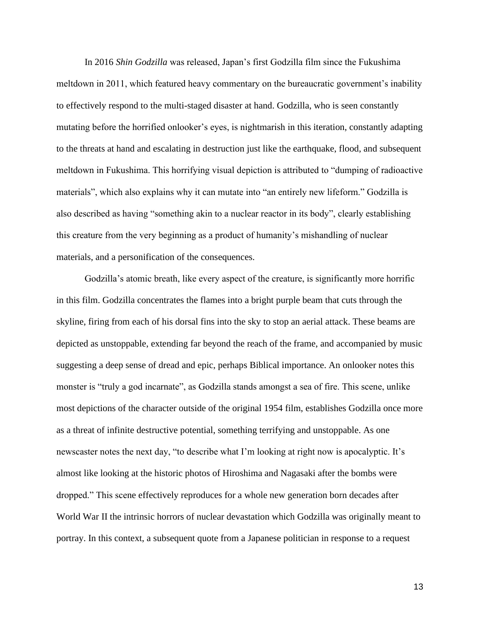In 2016 *Shin Godzilla* was released, Japan's first Godzilla film since the Fukushima meltdown in 2011, which featured heavy commentary on the bureaucratic government's inability to effectively respond to the multi-staged disaster at hand. Godzilla, who is seen constantly mutating before the horrified onlooker's eyes, is nightmarish in this iteration, constantly adapting to the threats at hand and escalating in destruction just like the earthquake, flood, and subsequent meltdown in Fukushima. This horrifying visual depiction is attributed to "dumping of radioactive materials", which also explains why it can mutate into "an entirely new lifeform." Godzilla is also described as having "something akin to a nuclear reactor in its body", clearly establishing this creature from the very beginning as a product of humanity's mishandling of nuclear materials, and a personification of the consequences.

Godzilla's atomic breath, like every aspect of the creature, is significantly more horrific in this film. Godzilla concentrates the flames into a bright purple beam that cuts through the skyline, firing from each of his dorsal fins into the sky to stop an aerial attack. These beams are depicted as unstoppable, extending far beyond the reach of the frame, and accompanied by music suggesting a deep sense of dread and epic, perhaps Biblical importance. An onlooker notes this monster is "truly a god incarnate", as Godzilla stands amongst a sea of fire. This scene, unlike most depictions of the character outside of the original 1954 film, establishes Godzilla once more as a threat of infinite destructive potential, something terrifying and unstoppable. As one newscaster notes the next day, "to describe what I'm looking at right now is apocalyptic. It's almost like looking at the historic photos of Hiroshima and Nagasaki after the bombs were dropped." This scene effectively reproduces for a whole new generation born decades after World War II the intrinsic horrors of nuclear devastation which Godzilla was originally meant to portray. In this context, a subsequent quote from a Japanese politician in response to a request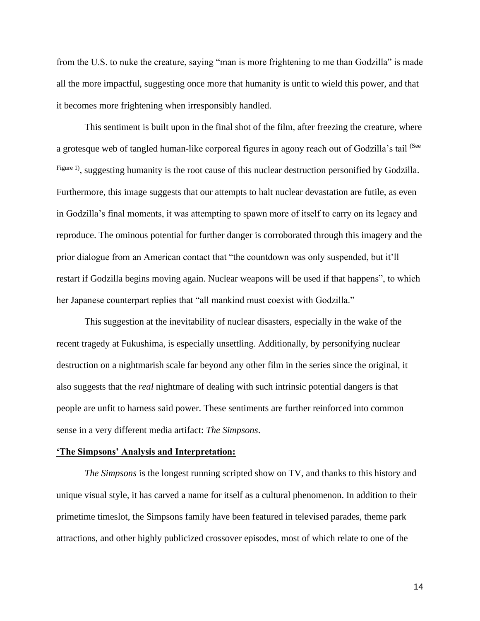from the U.S. to nuke the creature, saying "man is more frightening to me than Godzilla" is made all the more impactful, suggesting once more that humanity is unfit to wield this power, and that it becomes more frightening when irresponsibly handled.

This sentiment is built upon in the final shot of the film, after freezing the creature, where a grotesque web of tangled human-like corporeal figures in agony reach out of Godzilla's tail (See Figure 1), suggesting humanity is the root cause of this nuclear destruction personified by Godzilla. Furthermore, this image suggests that our attempts to halt nuclear devastation are futile, as even in Godzilla's final moments, it was attempting to spawn more of itself to carry on its legacy and reproduce. The ominous potential for further danger is corroborated through this imagery and the prior dialogue from an American contact that "the countdown was only suspended, but it'll restart if Godzilla begins moving again. Nuclear weapons will be used if that happens", to which her Japanese counterpart replies that "all mankind must coexist with Godzilla."

This suggestion at the inevitability of nuclear disasters, especially in the wake of the recent tragedy at Fukushima, is especially unsettling. Additionally, by personifying nuclear destruction on a nightmarish scale far beyond any other film in the series since the original, it also suggests that the *real* nightmare of dealing with such intrinsic potential dangers is that people are unfit to harness said power. These sentiments are further reinforced into common sense in a very different media artifact: *The Simpsons*.

#### **'The Simpsons' Analysis and Interpretation:**

*The Simpsons* is the longest running scripted show on TV, and thanks to this history and unique visual style, it has carved a name for itself as a cultural phenomenon. In addition to their primetime timeslot, the Simpsons family have been featured in televised parades, theme park attractions, and other highly publicized crossover episodes, most of which relate to one of the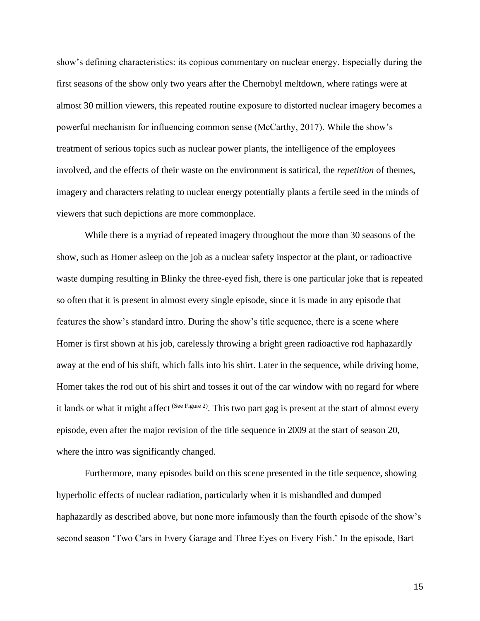show's defining characteristics: its copious commentary on nuclear energy. Especially during the first seasons of the show only two years after the Chernobyl meltdown, where ratings were at almost 30 million viewers, this repeated routine exposure to distorted nuclear imagery becomes a powerful mechanism for influencing common sense (McCarthy, 2017). While the show's treatment of serious topics such as nuclear power plants, the intelligence of the employees involved, and the effects of their waste on the environment is satirical, the *repetition* of themes, imagery and characters relating to nuclear energy potentially plants a fertile seed in the minds of viewers that such depictions are more commonplace.

While there is a myriad of repeated imagery throughout the more than 30 seasons of the show, such as Homer asleep on the job as a nuclear safety inspector at the plant, or radioactive waste dumping resulting in Blinky the three-eyed fish, there is one particular joke that is repeated so often that it is present in almost every single episode, since it is made in any episode that features the show's standard intro. During the show's title sequence, there is a scene where Homer is first shown at his job, carelessly throwing a bright green radioactive rod haphazardly away at the end of his shift, which falls into his shirt. Later in the sequence, while driving home, Homer takes the rod out of his shirt and tosses it out of the car window with no regard for where it lands or what it might affect <sup>(See Figure 2)</sup>. This two part gag is present at the start of almost every episode, even after the major revision of the title sequence in 2009 at the start of season 20, where the intro was significantly changed.

Furthermore, many episodes build on this scene presented in the title sequence, showing hyperbolic effects of nuclear radiation, particularly when it is mishandled and dumped haphazardly as described above, but none more infamously than the fourth episode of the show's second season 'Two Cars in Every Garage and Three Eyes on Every Fish.' In the episode, Bart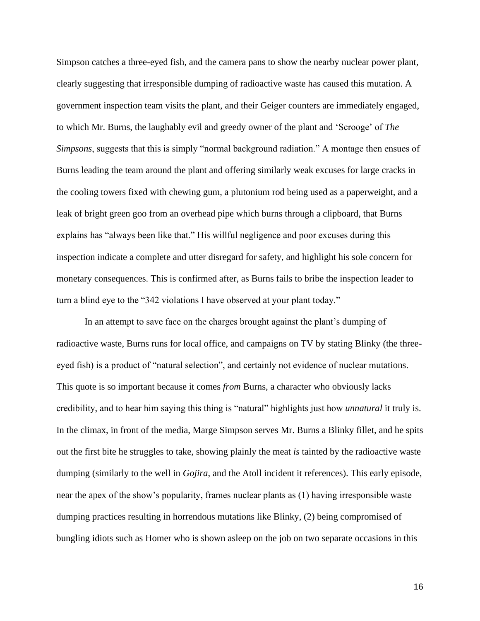Simpson catches a three-eyed fish, and the camera pans to show the nearby nuclear power plant, clearly suggesting that irresponsible dumping of radioactive waste has caused this mutation. A government inspection team visits the plant, and their Geiger counters are immediately engaged, to which Mr. Burns, the laughably evil and greedy owner of the plant and 'Scrooge' of *The Simpsons*, suggests that this is simply "normal background radiation." A montage then ensues of Burns leading the team around the plant and offering similarly weak excuses for large cracks in the cooling towers fixed with chewing gum, a plutonium rod being used as a paperweight, and a leak of bright green goo from an overhead pipe which burns through a clipboard, that Burns explains has "always been like that." His willful negligence and poor excuses during this inspection indicate a complete and utter disregard for safety, and highlight his sole concern for monetary consequences. This is confirmed after, as Burns fails to bribe the inspection leader to turn a blind eye to the "342 violations I have observed at your plant today."

In an attempt to save face on the charges brought against the plant's dumping of radioactive waste, Burns runs for local office, and campaigns on TV by stating Blinky (the threeeyed fish) is a product of "natural selection", and certainly not evidence of nuclear mutations. This quote is so important because it comes *from* Burns, a character who obviously lacks credibility, and to hear him saying this thing is "natural" highlights just how *unnatural* it truly is. In the climax, in front of the media, Marge Simpson serves Mr. Burns a Blinky fillet, and he spits out the first bite he struggles to take, showing plainly the meat *is* tainted by the radioactive waste dumping (similarly to the well in *Gojira*, and the Atoll incident it references). This early episode, near the apex of the show's popularity, frames nuclear plants as (1) having irresponsible waste dumping practices resulting in horrendous mutations like Blinky, (2) being compromised of bungling idiots such as Homer who is shown asleep on the job on two separate occasions in this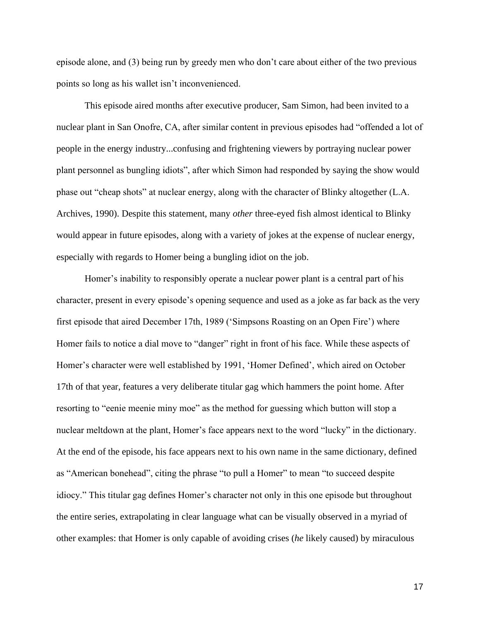episode alone, and (3) being run by greedy men who don't care about either of the two previous points so long as his wallet isn't inconvenienced.

This episode aired months after executive producer, Sam Simon, had been invited to a nuclear plant in San Onofre, CA, after similar content in previous episodes had "offended a lot of people in the energy industry...confusing and frightening viewers by portraying nuclear power plant personnel as bungling idiots", after which Simon had responded by saying the show would phase out "cheap shots" at nuclear energy, along with the character of Blinky altogether (L.A. Archives, 1990). Despite this statement, many *other* three-eyed fish almost identical to Blinky would appear in future episodes, along with a variety of jokes at the expense of nuclear energy, especially with regards to Homer being a bungling idiot on the job.

Homer's inability to responsibly operate a nuclear power plant is a central part of his character, present in every episode's opening sequence and used as a joke as far back as the very first episode that aired December 17th, 1989 ('Simpsons Roasting on an Open Fire') where Homer fails to notice a dial move to "danger" right in front of his face. While these aspects of Homer's character were well established by 1991, 'Homer Defined', which aired on October 17th of that year, features a very deliberate titular gag which hammers the point home. After resorting to "eenie meenie miny moe" as the method for guessing which button will stop a nuclear meltdown at the plant, Homer's face appears next to the word "lucky" in the dictionary. At the end of the episode, his face appears next to his own name in the same dictionary, defined as "American bonehead", citing the phrase "to pull a Homer" to mean "to succeed despite idiocy." This titular gag defines Homer's character not only in this one episode but throughout the entire series, extrapolating in clear language what can be visually observed in a myriad of other examples: that Homer is only capable of avoiding crises (*he* likely caused) by miraculous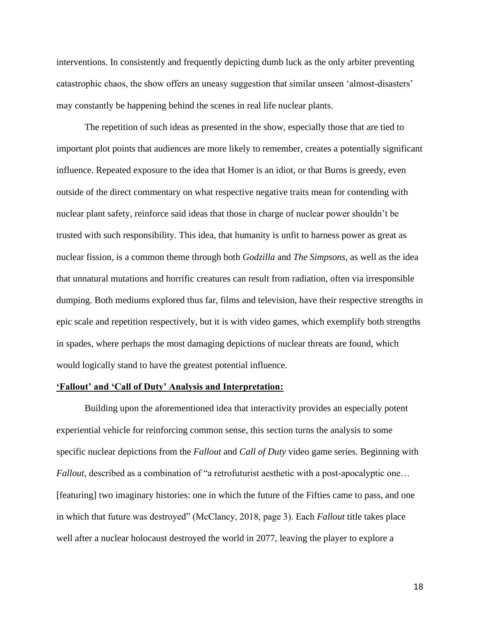interventions. In consistently and frequently depicting dumb luck as the only arbiter preventing catastrophic chaos, the show offers an uneasy suggestion that similar unseen 'almost-disasters' may constantly be happening behind the scenes in real life nuclear plants.

The repetition of such ideas as presented in the show, especially those that are tied to important plot points that audiences are more likely to remember, creates a potentially significant influence. Repeated exposure to the idea that Homer is an idiot, or that Burns is greedy, even outside of the direct commentary on what respective negative traits mean for contending with nuclear plant safety, reinforce said ideas that those in charge of nuclear power shouldn't be trusted with such responsibility. This idea, that humanity is unfit to harness power as great as nuclear fission, is a common theme through both *Godzilla* and *The Simpsons*, as well as the idea that unnatural mutations and horrific creatures can result from radiation, often via irresponsible dumping. Both mediums explored thus far, films and television, have their respective strengths in epic scale and repetition respectively, but it is with video games, which exemplify both strengths in spades, where perhaps the most damaging depictions of nuclear threats are found, which would logically stand to have the greatest potential influence.

## **'Fallout' and 'Call of Duty' Analysis and Interpretation:**

Building upon the aforementioned idea that interactivity provides an especially potent experiential vehicle for reinforcing common sense, this section turns the analysis to some specific nuclear depictions from the *Fallout* and *Call of Duty* video game series. Beginning with *Fallout*, described as a combination of "a retrofuturist aesthetic with a post-apocalyptic one... [featuring] two imaginary histories: one in which the future of the Fifties came to pass, and one in which that future was destroyed" (McClancy, 2018, page 3). Each *Fallout* title takes place well after a nuclear holocaust destroyed the world in 2077, leaving the player to explore a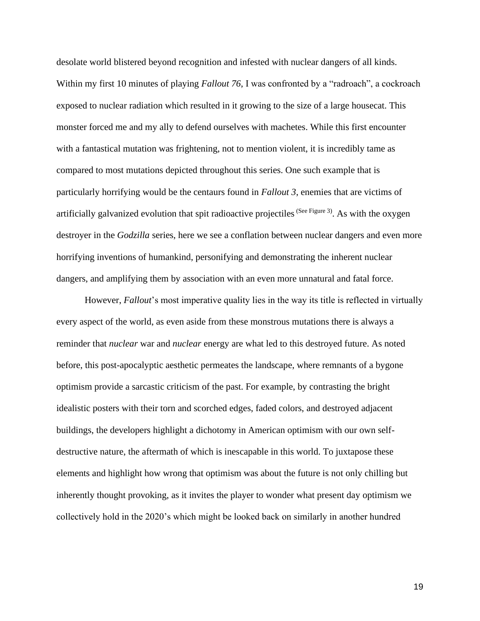desolate world blistered beyond recognition and infested with nuclear dangers of all kinds. Within my first 10 minutes of playing *Fallout 76*, I was confronted by a "radroach", a cockroach exposed to nuclear radiation which resulted in it growing to the size of a large housecat. This monster forced me and my ally to defend ourselves with machetes. While this first encounter with a fantastical mutation was frightening, not to mention violent, it is incredibly tame as compared to most mutations depicted throughout this series. One such example that is particularly horrifying would be the centaurs found in *Fallout 3*, enemies that are victims of artificially galvanized evolution that spit radioactive projectiles  $(See Figure 3)$ . As with the oxygen destroyer in the *Godzilla* series, here we see a conflation between nuclear dangers and even more horrifying inventions of humankind, personifying and demonstrating the inherent nuclear dangers, and amplifying them by association with an even more unnatural and fatal force.

However, *Fallout*'s most imperative quality lies in the way its title is reflected in virtually every aspect of the world, as even aside from these monstrous mutations there is always a reminder that *nuclear* war and *nuclear* energy are what led to this destroyed future. As noted before, this post-apocalyptic aesthetic permeates the landscape, where remnants of a bygone optimism provide a sarcastic criticism of the past. For example, by contrasting the bright idealistic posters with their torn and scorched edges, faded colors, and destroyed adjacent buildings, the developers highlight a dichotomy in American optimism with our own selfdestructive nature, the aftermath of which is inescapable in this world. To juxtapose these elements and highlight how wrong that optimism was about the future is not only chilling but inherently thought provoking, as it invites the player to wonder what present day optimism we collectively hold in the 2020's which might be looked back on similarly in another hundred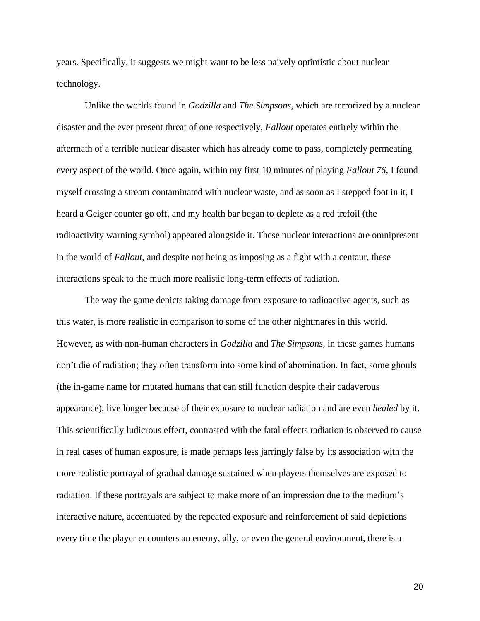years. Specifically, it suggests we might want to be less naively optimistic about nuclear technology.

Unlike the worlds found in *Godzilla* and *The Simpsons*, which are terrorized by a nuclear disaster and the ever present threat of one respectively, *Fallout* operates entirely within the aftermath of a terrible nuclear disaster which has already come to pass, completely permeating every aspect of the world. Once again, within my first 10 minutes of playing *Fallout 76,* I found myself crossing a stream contaminated with nuclear waste, and as soon as I stepped foot in it, I heard a Geiger counter go off, and my health bar began to deplete as a red trefoil (the radioactivity warning symbol) appeared alongside it. These nuclear interactions are omnipresent in the world of *Fallout*, and despite not being as imposing as a fight with a centaur, these interactions speak to the much more realistic long-term effects of radiation.

The way the game depicts taking damage from exposure to radioactive agents, such as this water, is more realistic in comparison to some of the other nightmares in this world. However, as with non-human characters in *Godzilla* and *The Simpsons,* in these games humans don't die of radiation; they often transform into some kind of abomination. In fact, some ghouls (the in-game name for mutated humans that can still function despite their cadaverous appearance), live longer because of their exposure to nuclear radiation and are even *healed* by it. This scientifically ludicrous effect, contrasted with the fatal effects radiation is observed to cause in real cases of human exposure, is made perhaps less jarringly false by its association with the more realistic portrayal of gradual damage sustained when players themselves are exposed to radiation. If these portrayals are subject to make more of an impression due to the medium's interactive nature, accentuated by the repeated exposure and reinforcement of said depictions every time the player encounters an enemy, ally, or even the general environment, there is a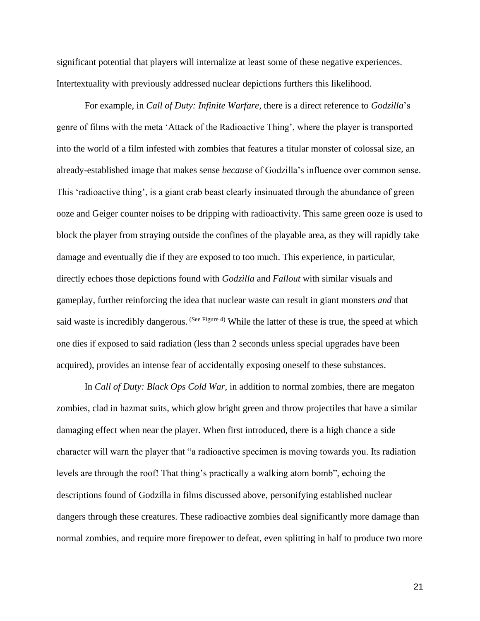significant potential that players will internalize at least some of these negative experiences. Intertextuality with previously addressed nuclear depictions furthers this likelihood.

For example, in *Call of Duty: Infinite Warfare*, there is a direct reference to *Godzilla*'s genre of films with the meta 'Attack of the Radioactive Thing', where the player is transported into the world of a film infested with zombies that features a titular monster of colossal size, an already-established image that makes sense *because* of Godzilla's influence over common sense. This 'radioactive thing', is a giant crab beast clearly insinuated through the abundance of green ooze and Geiger counter noises to be dripping with radioactivity. This same green ooze is used to block the player from straying outside the confines of the playable area, as they will rapidly take damage and eventually die if they are exposed to too much. This experience, in particular, directly echoes those depictions found with *Godzilla* and *Fallout* with similar visuals and gameplay, further reinforcing the idea that nuclear waste can result in giant monsters *and* that said waste is incredibly dangerous. (See Figure 4) While the latter of these is true, the speed at which one dies if exposed to said radiation (less than 2 seconds unless special upgrades have been acquired), provides an intense fear of accidentally exposing oneself to these substances.

In *Call of Duty: Black Ops Cold War*, in addition to normal zombies, there are megaton zombies, clad in hazmat suits, which glow bright green and throw projectiles that have a similar damaging effect when near the player. When first introduced, there is a high chance a side character will warn the player that "a radioactive specimen is moving towards you. Its radiation levels are through the roof! That thing's practically a walking atom bomb", echoing the descriptions found of Godzilla in films discussed above, personifying established nuclear dangers through these creatures. These radioactive zombies deal significantly more damage than normal zombies, and require more firepower to defeat, even splitting in half to produce two more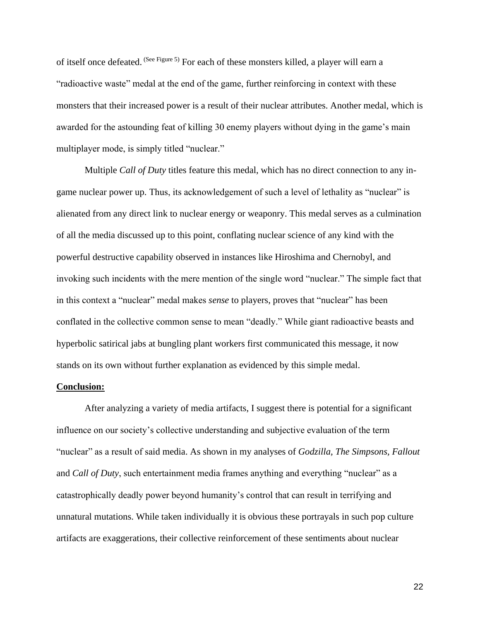of itself once defeated. (See Figure 5) For each of these monsters killed, a player will earn a "radioactive waste" medal at the end of the game, further reinforcing in context with these monsters that their increased power is a result of their nuclear attributes. Another medal, which is awarded for the astounding feat of killing 30 enemy players without dying in the game's main multiplayer mode, is simply titled "nuclear."

Multiple *Call of Duty* titles feature this medal, which has no direct connection to any ingame nuclear power up. Thus, its acknowledgement of such a level of lethality as "nuclear" is alienated from any direct link to nuclear energy or weaponry. This medal serves as a culmination of all the media discussed up to this point, conflating nuclear science of any kind with the powerful destructive capability observed in instances like Hiroshima and Chernobyl, and invoking such incidents with the mere mention of the single word "nuclear." The simple fact that in this context a "nuclear" medal makes *sense* to players, proves that "nuclear" has been conflated in the collective common sense to mean "deadly." While giant radioactive beasts and hyperbolic satirical jabs at bungling plant workers first communicated this message, it now stands on its own without further explanation as evidenced by this simple medal.

### **Conclusion:**

After analyzing a variety of media artifacts, I suggest there is potential for a significant influence on our society's collective understanding and subjective evaluation of the term "nuclear" as a result of said media. As shown in my analyses of *Godzilla, The Simpsons, Fallout* and *Call of Duty*, such entertainment media frames anything and everything "nuclear" as a catastrophically deadly power beyond humanity's control that can result in terrifying and unnatural mutations. While taken individually it is obvious these portrayals in such pop culture artifacts are exaggerations, their collective reinforcement of these sentiments about nuclear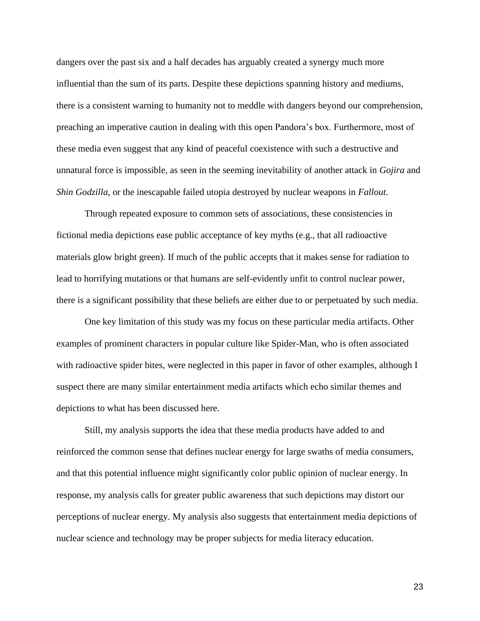dangers over the past six and a half decades has arguably created a synergy much more influential than the sum of its parts. Despite these depictions spanning history and mediums, there is a consistent warning to humanity not to meddle with dangers beyond our comprehension, preaching an imperative caution in dealing with this open Pandora's box. Furthermore, most of these media even suggest that any kind of peaceful coexistence with such a destructive and unnatural force is impossible, as seen in the seeming inevitability of another attack in *Gojira* and *Shin Godzilla*, or the inescapable failed utopia destroyed by nuclear weapons in *Fallout*.

Through repeated exposure to common sets of associations, these consistencies in fictional media depictions ease public acceptance of key myths (e.g., that all radioactive materials glow bright green). If much of the public accepts that it makes sense for radiation to lead to horrifying mutations or that humans are self-evidently unfit to control nuclear power, there is a significant possibility that these beliefs are either due to or perpetuated by such media.

One key limitation of this study was my focus on these particular media artifacts. Other examples of prominent characters in popular culture like Spider-Man, who is often associated with radioactive spider bites, were neglected in this paper in favor of other examples, although I suspect there are many similar entertainment media artifacts which echo similar themes and depictions to what has been discussed here.

Still, my analysis supports the idea that these media products have added to and reinforced the common sense that defines nuclear energy for large swaths of media consumers, and that this potential influence might significantly color public opinion of nuclear energy. In response, my analysis calls for greater public awareness that such depictions may distort our perceptions of nuclear energy. My analysis also suggests that entertainment media depictions of nuclear science and technology may be proper subjects for media literacy education.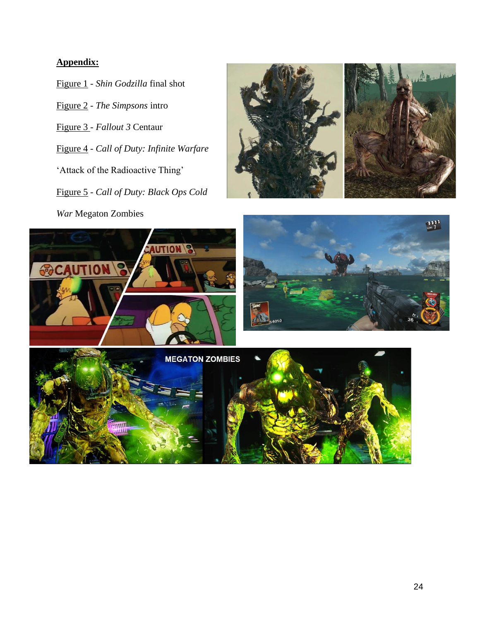## **Appendix:**

- Figure 1 *Shin Godzilla* final shot
- Figure 2 *The Simpsons* intro
- Figure 3 *Fallout 3* Centaur
- Figure 4 *Call of Duty: Infinite Warfare*
- 'Attack of the Radioactive Thing'
- Figure 5 *Call of Duty: Black Ops Cold*





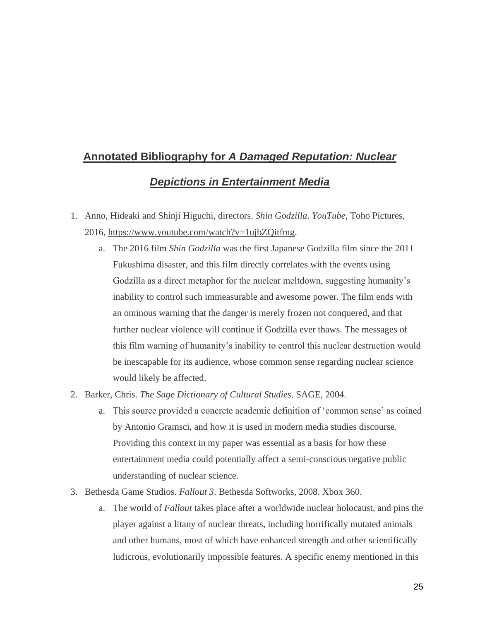# **Annotated Bibliography for** *A Damaged Reputation: Nuclear*

# *Depictions in Entertainment Media*

- 1. Anno, Hideaki and Shinji Higuchi, directors. *Shin Godzilla*. *YouTube*, Toho Pictures, 2016, [https://www.youtube.com/watch?v=1ujbZQitfmg.](https://www.youtube.com/watch?v=1ujbZQitfmg)
	- a. The 2016 film *Shin Godzilla* was the first Japanese Godzilla film since the 2011 Fukushima disaster, and this film directly correlates with the events using Godzilla as a direct metaphor for the nuclear meltdown, suggesting humanity's inability to control such immeasurable and awesome power. The film ends with an ominous warning that the danger is merely frozen not conquered, and that further nuclear violence will continue if Godzilla ever thaws. The messages of this film warning of humanity's inability to control this nuclear destruction would be inescapable for its audience, whose common sense regarding nuclear science would likely be affected.
- 2. Barker, Chris. *The Sage Dictionary of Cultural Studies*. SAGE, 2004.
	- a. This source provided a concrete academic definition of 'common sense' as coined by Antonio Gramsci, and how it is used in modern media studies discourse. Providing this context in my paper was essential as a basis for how these entertainment media could potentially affect a semi-conscious negative public understanding of nuclear science.
- 3. Bethesda Game Studios. *Fallout 3*. Bethesda Softworks, 2008. Xbox 360.
	- a. The world of *Fallout* takes place after a worldwide nuclear holocaust, and pins the player against a litany of nuclear threats, including horrifically mutated animals and other humans, most of which have enhanced strength and other scientifically ludicrous, evolutionarily impossible features. A specific enemy mentioned in this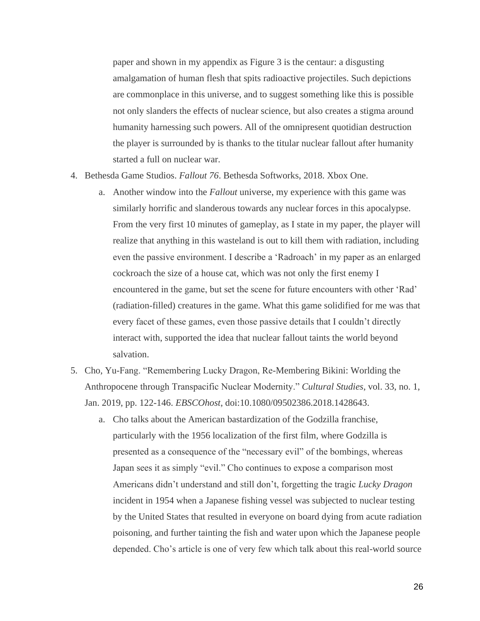paper and shown in my appendix as Figure 3 is the centaur: a disgusting amalgamation of human flesh that spits radioactive projectiles. Such depictions are commonplace in this universe, and to suggest something like this is possible not only slanders the effects of nuclear science, but also creates a stigma around humanity harnessing such powers. All of the omnipresent quotidian destruction the player is surrounded by is thanks to the titular nuclear fallout after humanity started a full on nuclear war.

- 4. Bethesda Game Studios. *Fallout 76*. Bethesda Softworks, 2018. Xbox One.
	- a. Another window into the *Fallout* universe, my experience with this game was similarly horrific and slanderous towards any nuclear forces in this apocalypse. From the very first 10 minutes of gameplay, as I state in my paper, the player will realize that anything in this wasteland is out to kill them with radiation, including even the passive environment. I describe a 'Radroach' in my paper as an enlarged cockroach the size of a house cat, which was not only the first enemy I encountered in the game, but set the scene for future encounters with other 'Rad' (radiation-filled) creatures in the game. What this game solidified for me was that every facet of these games, even those passive details that I couldn't directly interact with, supported the idea that nuclear fallout taints the world beyond salvation.
- 5. Cho, Yu-Fang. "Remembering Lucky Dragon, Re-Membering Bikini: Worlding the Anthropocene through Transpacific Nuclear Modernity." *Cultural Studies*, vol. 33, no. 1, Jan. 2019, pp. 122-146. *EBSCOhost*, doi:10.1080/09502386.2018.1428643.
	- a. Cho talks about the American bastardization of the Godzilla franchise, particularly with the 1956 localization of the first film, where Godzilla is presented as a consequence of the "necessary evil" of the bombings, whereas Japan sees it as simply "evil." Cho continues to expose a comparison most Americans didn't understand and still don't, forgetting the tragic *Lucky Dragon* incident in 1954 when a Japanese fishing vessel was subjected to nuclear testing by the United States that resulted in everyone on board dying from acute radiation poisoning, and further tainting the fish and water upon which the Japanese people depended. Cho's article is one of very few which talk about this real-world source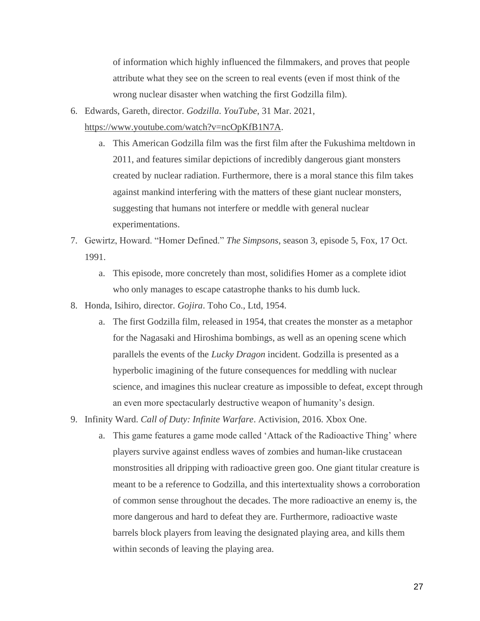of information which highly influenced the filmmakers, and proves that people attribute what they see on the screen to real events (even if most think of the wrong nuclear disaster when watching the first Godzilla film).

6. Edwards, Gareth, director. *Godzilla*. *YouTube*, 31 Mar. 2021,

[https://www.youtube.com/watch?v=ncOpKfB1N7A.](https://www.youtube.com/watch?v=ncOpKfB1N7A)

- a. This American Godzilla film was the first film after the Fukushima meltdown in 2011, and features similar depictions of incredibly dangerous giant monsters created by nuclear radiation. Furthermore, there is a moral stance this film takes against mankind interfering with the matters of these giant nuclear monsters, suggesting that humans not interfere or meddle with general nuclear experimentations.
- 7. Gewirtz, Howard. "Homer Defined." *The Simpsons*, season 3, episode 5, Fox, 17 Oct. 1991.
	- a. This episode, more concretely than most, solidifies Homer as a complete idiot who only manages to escape catastrophe thanks to his dumb luck.
- 8. Honda, Isihiro, director. *Gojira*. Toho Co., Ltd, 1954.
	- a. The first Godzilla film, released in 1954, that creates the monster as a metaphor for the Nagasaki and Hiroshima bombings, as well as an opening scene which parallels the events of the *Lucky Dragon* incident. Godzilla is presented as a hyperbolic imagining of the future consequences for meddling with nuclear science, and imagines this nuclear creature as impossible to defeat, except through an even more spectacularly destructive weapon of humanity's design.
- 9. Infinity Ward. *Call of Duty: Infinite Warfare*. Activision, 2016. Xbox One.
	- a. This game features a game mode called 'Attack of the Radioactive Thing' where players survive against endless waves of zombies and human-like crustacean monstrosities all dripping with radioactive green goo. One giant titular creature is meant to be a reference to Godzilla, and this intertextuality shows a corroboration of common sense throughout the decades. The more radioactive an enemy is, the more dangerous and hard to defeat they are. Furthermore, radioactive waste barrels block players from leaving the designated playing area, and kills them within seconds of leaving the playing area.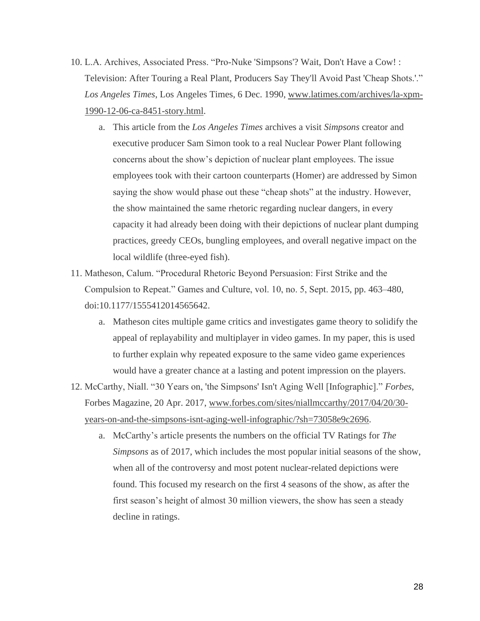- 10. L.A. Archives, Associated Press. "Pro-Nuke 'Simpsons'? Wait, Don't Have a Cow! : Television: After Touring a Real Plant, Producers Say They'll Avoid Past 'Cheap Shots.'." *Los Angeles Times*, Los Angeles Times, 6 Dec. 1990, [www.latimes.com/archives/la-xpm-](http://www.latimes.com/archives/la-xpm-1990-12-06-ca-8451-story.html)[1990-12-06-ca-8451-story.html.](http://www.latimes.com/archives/la-xpm-1990-12-06-ca-8451-story.html)
	- a. This article from the *Los Angeles Times* archives a visit *Simpsons* creator and executive producer Sam Simon took to a real Nuclear Power Plant following concerns about the show's depiction of nuclear plant employees. The issue employees took with their cartoon counterparts (Homer) are addressed by Simon saying the show would phase out these "cheap shots" at the industry. However, the show maintained the same rhetoric regarding nuclear dangers, in every capacity it had already been doing with their depictions of nuclear plant dumping practices, greedy CEOs, bungling employees, and overall negative impact on the local wildlife (three-eyed fish).
- 11. Matheson, Calum. "Procedural Rhetoric Beyond Persuasion: First Strike and the Compulsion to Repeat." Games and Culture, vol. 10, no. 5, Sept. 2015, pp. 463–480, doi:10.1177/1555412014565642.
	- a. Matheson cites multiple game critics and investigates game theory to solidify the appeal of replayability and multiplayer in video games. In my paper, this is used to further explain why repeated exposure to the same video game experiences would have a greater chance at a lasting and potent impression on the players.

12. McCarthy, Niall. "30 Years on, 'the Simpsons' Isn't Aging Well [Infographic]." *Forbes*, Forbes Magazine, 20 Apr. 2017, [www.forbes.com/sites/niallmccarthy/2017/04/20/30](http://www.forbes.com/sites/niallmccarthy/2017/04/20/30-years-on-and-the-simpsons-isnt-aging-well-infographic/?sh=73058e9c2696) [years-on-and-the-simpsons-isnt-aging-well-infographic/?sh=73058e9c2696.](http://www.forbes.com/sites/niallmccarthy/2017/04/20/30-years-on-and-the-simpsons-isnt-aging-well-infographic/?sh=73058e9c2696)

a. McCarthy's article presents the numbers on the official TV Ratings for *The Simpsons* as of 2017, which includes the most popular initial seasons of the show, when all of the controversy and most potent nuclear-related depictions were found. This focused my research on the first 4 seasons of the show, as after the first season's height of almost 30 million viewers, the show has seen a steady decline in ratings.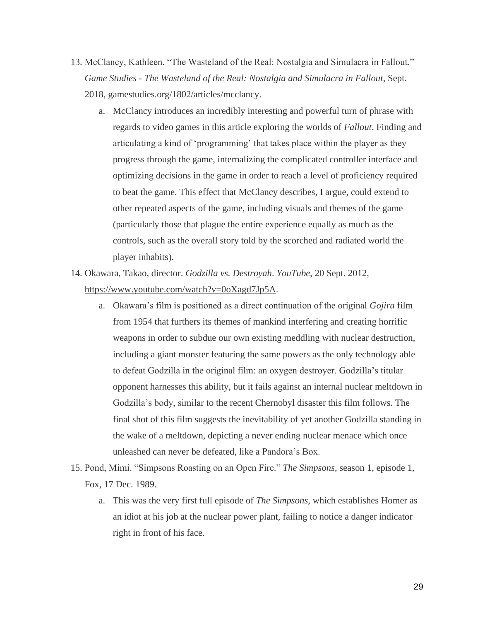- 13. McClancy, Kathleen. "The Wasteland of the Real: Nostalgia and Simulacra in Fallout." *Game Studies - The Wasteland of the Real: Nostalgia and Simulacra in Fallout*, Sept. 2018, gamestudies.org/1802/articles/mcclancy.
	- a. McClancy introduces an incredibly interesting and powerful turn of phrase with regards to video games in this article exploring the worlds of *Fallout*. Finding and articulating a kind of 'programming' that takes place within the player as they progress through the game, internalizing the complicated controller interface and optimizing decisions in the game in order to reach a level of proficiency required to beat the game. This effect that McClancy describes, I argue, could extend to other repeated aspects of the game, including visuals and themes of the game (particularly those that plague the entire experience equally as much as the controls, such as the overall story told by the scorched and radiated world the player inhabits).
- 14. Okawara, Takao, director. *Godzilla vs. Destroyah*. *YouTube*, 20 Sept. 2012, [https://www.youtube.com/watch?v=0oXagd7Jp5A.](https://www.youtube.com/watch?v=0oXagd7Jp5A)
	- a. Okawara's film is positioned as a direct continuation of the original *Gojira* film from 1954 that furthers its themes of mankind interfering and creating horrific weapons in order to subdue our own existing meddling with nuclear destruction, including a giant monster featuring the same powers as the only technology able to defeat Godzilla in the original film: an oxygen destroyer. Godzilla's titular opponent harnesses this ability, but it fails against an internal nuclear meltdown in Godzilla's body, similar to the recent Chernobyl disaster this film follows. The final shot of this film suggests the inevitability of yet another Godzilla standing in the wake of a meltdown, depicting a never ending nuclear menace which once unleashed can never be defeated, like a Pandora's Box.
- 15. Pond, Mimi. "Simpsons Roasting on an Open Fire." *The Simpsons*, season 1, episode 1, Fox, 17 Dec. 1989.
	- a. This was the very first full episode of *The Simpsons*, which establishes Homer as an idiot at his job at the nuclear power plant, failing to notice a danger indicator right in front of his face.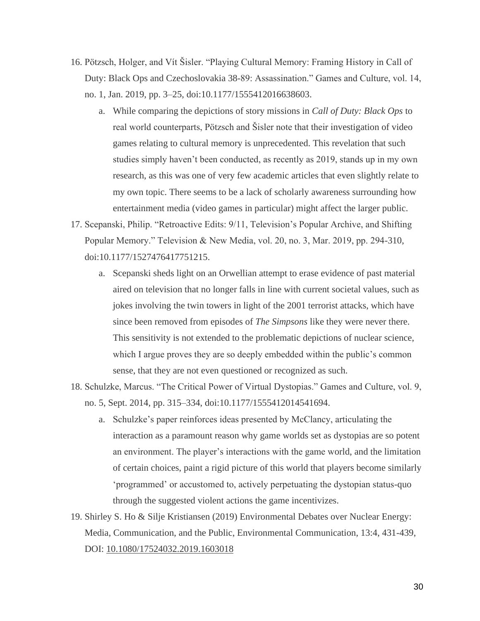- 16. Pötzsch, Holger, and Vít Šisler. "Playing Cultural Memory: Framing History in Call of Duty: Black Ops and Czechoslovakia 38-89: Assassination." Games and Culture, vol. 14, no. 1, Jan. 2019, pp. 3–25, doi:10.1177/1555412016638603.
	- a. While comparing the depictions of story missions in *Call of Duty: Black Ops* to real world counterparts, Pötzsch and Šisler note that their investigation of video games relating to cultural memory is unprecedented. This revelation that such studies simply haven't been conducted, as recently as 2019, stands up in my own research, as this was one of very few academic articles that even slightly relate to my own topic. There seems to be a lack of scholarly awareness surrounding how entertainment media (video games in particular) might affect the larger public.
- 17. Scepanski, Philip. "Retroactive Edits: 9/11, Television's Popular Archive, and Shifting Popular Memory." Television & New Media, vol. 20, no. 3, Mar. 2019, pp. 294-310, doi:10.1177/1527476417751215.
	- a. Scepanski sheds light on an Orwellian attempt to erase evidence of past material aired on television that no longer falls in line with current societal values, such as jokes involving the twin towers in light of the 2001 terrorist attacks, which have since been removed from episodes of *The Simpsons* like they were never there. This sensitivity is not extended to the problematic depictions of nuclear science, which I argue proves they are so deeply embedded within the public's common sense, that they are not even questioned or recognized as such.
- 18. Schulzke, Marcus. "The Critical Power of Virtual Dystopias." Games and Culture, vol. 9, no. 5, Sept. 2014, pp. 315–334, doi:10.1177/1555412014541694.
	- a. Schulzke's paper reinforces ideas presented by McClancy, articulating the interaction as a paramount reason why game worlds set as dystopias are so potent an environment. The player's interactions with the game world, and the limitation of certain choices, paint a rigid picture of this world that players become similarly 'programmed' or accustomed to, actively perpetuating the dystopian status-quo through the suggested violent actions the game incentivizes.
- 19. Shirley S. Ho & Silje Kristiansen (2019) Environmental Debates over Nuclear Energy: Media, Communication, and the Public, Environmental Communication, 13:4, 431-439, DOI: [10.1080/17524032.2019.1603018](https://doi.org/10.1080/17524032.2019.1603018)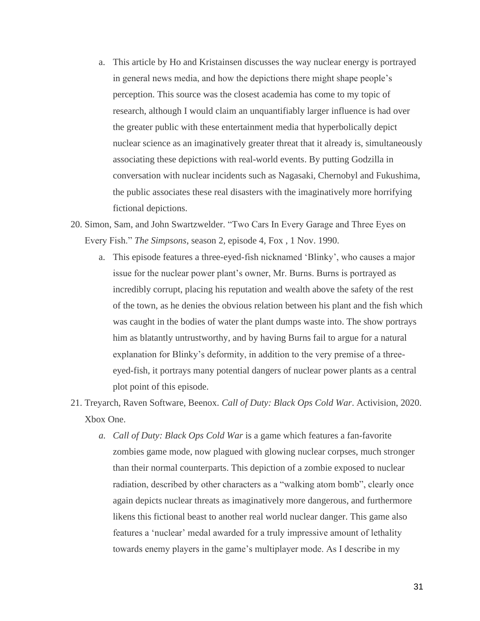- a. This article by Ho and Kristainsen discusses the way nuclear energy is portrayed in general news media, and how the depictions there might shape people's perception. This source was the closest academia has come to my topic of research, although I would claim an unquantifiably larger influence is had over the greater public with these entertainment media that hyperbolically depict nuclear science as an imaginatively greater threat that it already is, simultaneously associating these depictions with real-world events. By putting Godzilla in conversation with nuclear incidents such as Nagasaki, Chernobyl and Fukushima, the public associates these real disasters with the imaginatively more horrifying fictional depictions.
- 20. Simon, Sam, and John Swartzwelder. "Two Cars In Every Garage and Three Eyes on Every Fish." *The Simpsons*, season 2, episode 4, Fox , 1 Nov. 1990.
	- a. This episode features a three-eyed-fish nicknamed 'Blinky', who causes a major issue for the nuclear power plant's owner, Mr. Burns. Burns is portrayed as incredibly corrupt, placing his reputation and wealth above the safety of the rest of the town, as he denies the obvious relation between his plant and the fish which was caught in the bodies of water the plant dumps waste into. The show portrays him as blatantly untrustworthy, and by having Burns fail to argue for a natural explanation for Blinky's deformity, in addition to the very premise of a threeeyed-fish, it portrays many potential dangers of nuclear power plants as a central plot point of this episode.
- 21. Treyarch, Raven Software, Beenox. *Call of Duty: Black Ops Cold War*. Activision, 2020. Xbox One.
	- *a. Call of Duty: Black Ops Cold War* is a game which features a fan-favorite zombies game mode, now plagued with glowing nuclear corpses, much stronger than their normal counterparts. This depiction of a zombie exposed to nuclear radiation, described by other characters as a "walking atom bomb", clearly once again depicts nuclear threats as imaginatively more dangerous, and furthermore likens this fictional beast to another real world nuclear danger. This game also features a 'nuclear' medal awarded for a truly impressive amount of lethality towards enemy players in the game's multiplayer mode. As I describe in my